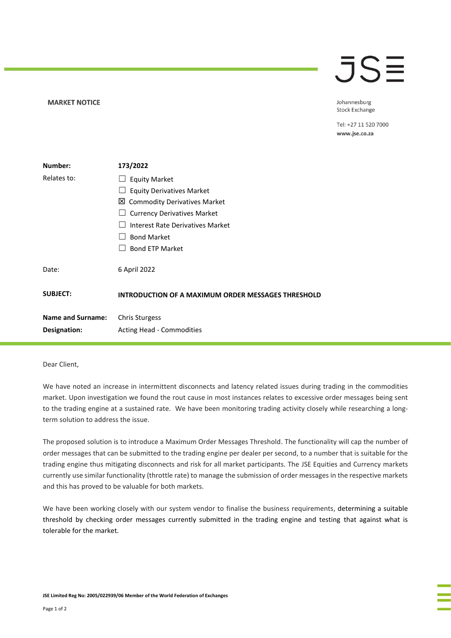## **MARKET NOTICE**

## $\overline{\mathsf{J}}\mathsf{S}\mathsf{\Xi}$

Johannesburg **Stock Exchange** 

Tel: +27 11 520 7000 www.jse.co.za

| Number:                  | 173/2022                                           |
|--------------------------|----------------------------------------------------|
| Relates to:              | <b>Equity Market</b>                               |
|                          | <b>Equity Derivatives Market</b>                   |
|                          | 凶 Commodity Derivatives Market                     |
|                          | <b>Currency Derivatives Market</b>                 |
|                          | Interest Rate Derivatives Market                   |
|                          | <b>Bond Market</b>                                 |
|                          | <b>Bond ETP Market</b>                             |
| Date:                    | 6 April 2022                                       |
| <b>SUBJECT:</b>          | INTRODUCTION OF A MAXIMUM ORDER MESSAGES THRESHOLD |
| <b>Name and Surname:</b> | <b>Chris Sturgess</b>                              |
| Designation:             | Acting Head - Commodities                          |

## Dear Client,

We have noted an increase in intermittent disconnects and latency related issues during trading in the commodities market. Upon investigation we found the rout cause in most instances relates to excessive order messages being sent to the trading engine at a sustained rate. We have been monitoring trading activity closely while researching a longterm solution to address the issue.

The proposed solution is to introduce a Maximum Order Messages Threshold. The functionality will cap the number of order messages that can be submitted to the trading engine per dealer per second, to a number that is suitable for the trading engine thus mitigating disconnects and risk for all market participants. The JSE Equities and Currency markets currently use similar functionality (throttle rate) to manage the submission of order messages in the respective markets and this has proved to be valuable for both markets.

We have been working closely with our system vendor to finalise the business requirements, determining a suitable threshold by checking order messages currently submitted in the trading engine and testing that against what is tolerable for the market.